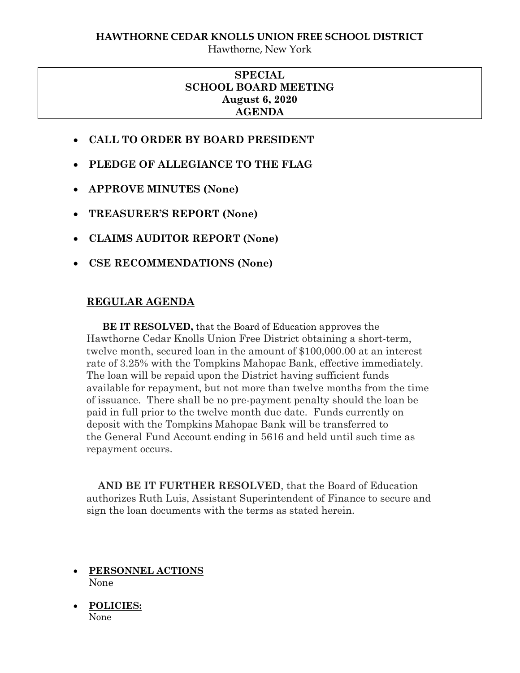Hawthorne, New York

## **SPECIAL SCHOOL BOARD MEETING August 6, 2020 AGENDA**

- **CALL TO ORDER BY BOARD PRESIDENT**
- **PLEDGE OF ALLEGIANCE TO THE FLAG**
- **APPROVE MINUTES (None)**
- **TREASURER'S REPORT (None)**
- **CLAIMS AUDITOR REPORT (None)**
- **CSE RECOMMENDATIONS (None)**

## **REGULAR AGENDA**

 **BE IT RESOLVED,** that the Board of Education approves the Hawthorne Cedar Knolls Union Free District obtaining a short-term, twelve month, secured loan in the amount of \$100,000.00 at an interest rate of 3.25% with the Tompkins Mahopac Bank, effective immediately. The loan will be repaid upon the District having sufficient funds available for repayment, but not more than twelve months from the time of issuance. There shall be no pre-payment penalty should the loan be paid in full prior to the twelve month due date. Funds currently on deposit with the Tompkins Mahopac Bank will be transferred to the General Fund Account ending in 5616 and held until such time as repayment occurs.

 **AND BE IT FURTHER RESOLVED**, that the Board of Education authorizes Ruth Luis, Assistant Superintendent of Finance to secure and sign the loan documents with the terms as stated herein.

- **PERSONNEL ACTIONS** None
- **POLICIES:**  None